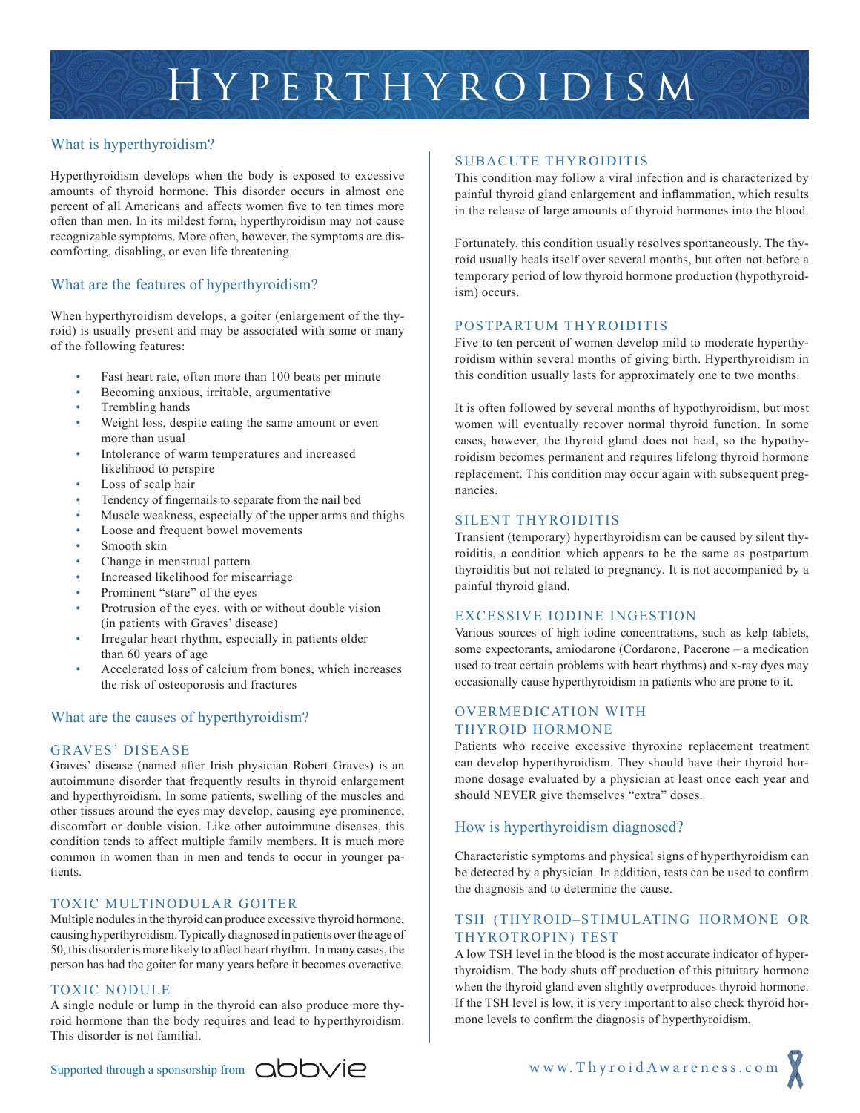

# What is hyperthyroidism?

Hyperthyroidism develops when the body is exposed to excessive amounts of thyroid hormone. This disorder occurs in almost one percent of all Americans and affects women five to ten times more often than men. In its mildest form, hyperthyroidism may not cause recognizable symptoms. More often, however, the symptoms are discomforting, disabling, or even life threatening.

# What are the features of hyperthyroidism?

When hyperthyroidism develops, a goiter (enlargement of the thyroid) is usually present and may be associated with some or many of the following features:

- Fast heart rate, often more than 100 beats per minute
- Becoming anxious, irritable, argumentative
- Trembling hands
- Weight loss, despite eating the same amount or even more than usual
- Intolerance of warm temperatures and increased likelihood to perspire
- Loss of scalp hair
- Tendency of fingernails to separate from the nail bed
- Muscle weakness, especially of the upper arms and thighs
- Loose and frequent bowel movements
- Smooth skin
- Change in menstrual pattern
- Increased likelihood for miscarriage
- Prominent "stare" of the eyes
- Protrusion of the eyes, with or without double vision (in patients with Graves' disease)
- Irregular heart rhythm, especially in patients older than 60 years of age
- Accelerated loss of calcium from bones, which increases the risk of osteoporosis and fractures

## What are the causes of hyperthyroidism?

## GRAVES' DISEASE

Graves' disease (named after Irish physician Robert Graves) is an autoimmune disorder that frequently results in thyroid enlargement and hyperthyroidism. In some patients, swelling of the muscles and other tissues around the eyes may develop, causing eye prominence, discomfort or double vision. Like other autoimmune diseases, this condition tends to affect multiple family members. It is much more common in women than in men and tends to occur in younger patients.

# TOXIC MULTINODULAR GOITER

Multiple nodules in the thyroid can produce excessive thyroid hormone, causing hyperthyroidism. Typically diagnosed in patients over the age of 50, this disorder is more likely to affect heart rhythm. In many cases, the person has had the goiter for many years before it becomes overactive.

### TOXIC NODULE

A single nodule or lump in the thyroid can also produce more thyroid hormone than the body requires and lead to hyperthyroidism. This disorder is not familial.

### SUBACUTE THYROIDITIS

This condition may follow a viral infection and is characterized by painful thyroid gland enlargement and inflammation, which results in the release of large amounts of thyroid hormones into the blood.

Fortunately, this condition usually resolves spontaneously. The thyroid usually heals itself over several months, but often not before a temporary period of low thyroid hormone production (hypothyroidism) occurs.

### POSTPARTUM THYROIDITIS

Five to ten percent of women develop mild to moderate hyperthyroidism within several months of giving birth. Hyperthyroidism in this condition usually lasts for approximately one to two months.

It is often followed by several months of hypothyroidism, but most women will eventually recover normal thyroid function. In some cases, however, the thyroid gland does not heal, so the hypothyroidism becomes permanent and requires lifelong thyroid hormone replacement. This condition may occur again with subsequent pregnancies.

### SILENT THYROIDITIS

Transient (temporary) hyperthyroidism can be caused by silent thyroiditis, a condition which appears to be the same as postpartum thyroiditis but not related to pregnancy. It is not accompanied by a painful thyroid gland.

### EXCESSIVE IODINE INGESTION

Various sources of high iodine concentrations, such as kelp tablets, some expectorants, amiodarone (Cordarone, Pacerone – a medication used to treat certain problems with heart rhythms) and x-ray dyes may occasionally cause hyperthyroidism in patients who are prone to it.

# OVERMEDICATION WITH THYROID HORMONE

Patients who receive excessive thyroxine replacement treatment can develop hyperthyroidism. They should have their thyroid hormone dosage evaluated by a physician at least once each year and should NEVER give themselves "extra" doses.

## How is hyperthyroidism diagnosed?

Characteristic symptoms and physical signs of hyperthyroidism can be detected by a physician. In addition, tests can be used to confirm the diagnosis and to determine the cause.

# TSH (THYROID–STIMULATING HORMONE OR THYROTROPIN) TEST

A low TSH level in the blood is the most accurate indicator of hyperthyroidism. The body shuts off production of this pituitary hormone when the thyroid gland even slightly overproduces thyroid hormone. If the TSH level is low, it is very important to also check thyroid hormone levels to confirm the diagnosis of hyperthyroidism.